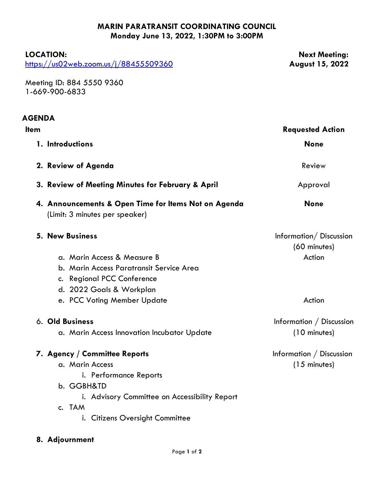## **MARIN PARATRANSIT COORDINATING COUNCIL Monday June 13, 2022, 1:30PM to 3:00PM**

## **LOCATION:**

<https://us02web.zoom.us/j/88455509360>

**Next Meeting: August 15, 2022**

Meeting ID: 884 5550 9360 1-669-900-6833

| <b>AGENDA</b> |                                                                                        |                                        |
|---------------|----------------------------------------------------------------------------------------|----------------------------------------|
| <b>Item</b>   |                                                                                        | <b>Requested Action</b>                |
|               | 1. Introductions                                                                       | <b>None</b>                            |
|               | 2. Review of Agenda                                                                    | Review                                 |
|               | 3. Review of Meeting Minutes for February & April                                      | Approval                               |
|               | 4. Announcements & Open Time for Items Not on Agenda<br>(Limit: 3 minutes per speaker) | <b>None</b>                            |
|               | <b>5. New Business</b>                                                                 | Information/Discussion<br>(60 minutes) |
|               | a. Marin Access & Measure B                                                            | Action                                 |
|               | b. Marin Access Paratransit Service Area                                               |                                        |
|               | c. Regional PCC Conference                                                             |                                        |
|               | d. 2022 Goals & Workplan                                                               |                                        |
|               | e. PCC Voting Member Update                                                            | Action                                 |
|               | 6. Old Business                                                                        | Information / Discussion               |
|               | a. Marin Access Innovation Incubator Update                                            | (10 minutes)                           |
|               | 7. Agency / Committee Reports                                                          | Information / Discussion               |
|               | a. Marin Access                                                                        | $(15$ minutes)                         |
|               | i. Performance Reports                                                                 |                                        |
|               | b. GGBH&TD                                                                             |                                        |
|               | i. Advisory Committee on Accessibility Report                                          |                                        |
|               | c. TAM                                                                                 |                                        |
|               | i. Citizens Oversight Committee                                                        |                                        |
|               |                                                                                        |                                        |

## **8. Adjournment**